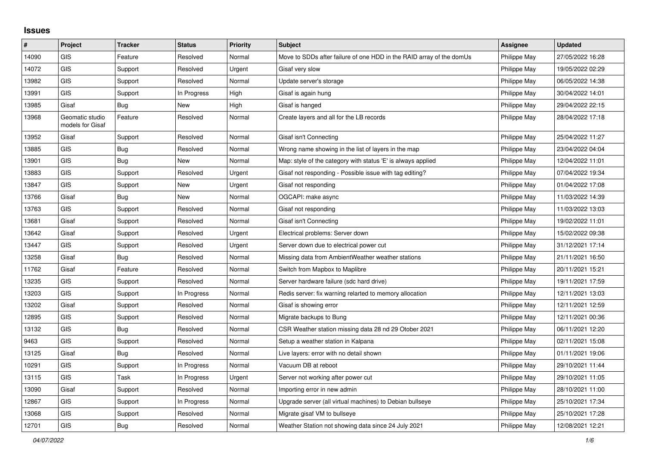## **Issues**

| #     | Project                             | <b>Tracker</b> | <b>Status</b> | <b>Priority</b> | <b>Subject</b>                                                       | Assignee     | <b>Updated</b>   |
|-------|-------------------------------------|----------------|---------------|-----------------|----------------------------------------------------------------------|--------------|------------------|
| 14090 | <b>GIS</b>                          | Feature        | Resolved      | Normal          | Move to SDDs after failure of one HDD in the RAID array of the domUs | Philippe May | 27/05/2022 16:28 |
| 14072 | <b>GIS</b>                          | Support        | Resolved      | Urgent          | Gisaf very slow                                                      | Philippe May | 19/05/2022 02:29 |
| 13982 | <b>GIS</b>                          | Support        | Resolved      | Normal          | Update server's storage                                              | Philippe May | 06/05/2022 14:38 |
| 13991 | <b>GIS</b>                          | Support        | In Progress   | High            | Gisaf is again hung                                                  | Philippe May | 30/04/2022 14:01 |
| 13985 | Gisaf                               | Bug            | New           | High            | Gisaf is hanged                                                      | Philippe May | 29/04/2022 22:15 |
| 13968 | Geomatic studio<br>models for Gisaf | Feature        | Resolved      | Normal          | Create layers and all for the LB records                             | Philippe May | 28/04/2022 17:18 |
| 13952 | Gisaf                               | Support        | Resolved      | Normal          | Gisaf isn't Connecting                                               | Philippe May | 25/04/2022 11:27 |
| 13885 | <b>GIS</b>                          | Bug            | Resolved      | Normal          | Wrong name showing in the list of layers in the map                  | Philippe May | 23/04/2022 04:04 |
| 13901 | <b>GIS</b>                          | <b>Bug</b>     | <b>New</b>    | Normal          | Map: style of the category with status 'E' is always applied         | Philippe May | 12/04/2022 11:01 |
| 13883 | <b>GIS</b>                          | Support        | Resolved      | Urgent          | Gisaf not responding - Possible issue with tag editing?              | Philippe May | 07/04/2022 19:34 |
| 13847 | <b>GIS</b>                          | Support        | <b>New</b>    | Urgent          | Gisaf not responding                                                 | Philippe May | 01/04/2022 17:08 |
| 13766 | Gisaf                               | Bug            | New           | Normal          | OGCAPI: make async                                                   | Philippe May | 11/03/2022 14:39 |
| 13763 | <b>GIS</b>                          | Support        | Resolved      | Normal          | Gisaf not responding                                                 | Philippe May | 11/03/2022 13:03 |
| 13681 | Gisaf                               | Support        | Resolved      | Normal          | Gisaf isn't Connecting                                               | Philippe May | 19/02/2022 11:01 |
| 13642 | Gisaf                               | Support        | Resolved      | Urgent          | Electrical problems: Server down                                     | Philippe May | 15/02/2022 09:38 |
| 13447 | <b>GIS</b>                          | Support        | Resolved      | Urgent          | Server down due to electrical power cut                              | Philippe May | 31/12/2021 17:14 |
| 13258 | Gisaf                               | <b>Bug</b>     | Resolved      | Normal          | Missing data from AmbientWeather weather stations                    | Philippe May | 21/11/2021 16:50 |
| 11762 | Gisaf                               | Feature        | Resolved      | Normal          | Switch from Mapbox to Maplibre                                       | Philippe May | 20/11/2021 15:21 |
| 13235 | <b>GIS</b>                          | Support        | Resolved      | Normal          | Server hardware failure (sdc hard drive)                             | Philippe May | 19/11/2021 17:59 |
| 13203 | <b>GIS</b>                          | Support        | In Progress   | Normal          | Redis server: fix warning relarted to memory allocation              | Philippe May | 12/11/2021 13:03 |
| 13202 | Gisaf                               | Support        | Resolved      | Normal          | Gisaf is showing error                                               | Philippe May | 12/11/2021 12:59 |
| 12895 | <b>GIS</b>                          | Support        | Resolved      | Normal          | Migrate backups to Bung                                              | Philippe May | 12/11/2021 00:36 |
| 13132 | <b>GIS</b>                          | Bug            | Resolved      | Normal          | CSR Weather station missing data 28 nd 29 Otober 2021                | Philippe May | 06/11/2021 12:20 |
| 9463  | <b>GIS</b>                          | Support        | Resolved      | Normal          | Setup a weather station in Kalpana                                   | Philippe May | 02/11/2021 15:08 |
| 13125 | Gisaf                               | Bug            | Resolved      | Normal          | Live layers: error with no detail shown                              | Philippe May | 01/11/2021 19:06 |
| 10291 | <b>GIS</b>                          | Support        | In Progress   | Normal          | Vacuum DB at reboot                                                  | Philippe May | 29/10/2021 11:44 |
| 13115 | <b>GIS</b>                          | Task           | In Progress   | Urgent          | Server not working after power cut                                   | Philippe May | 29/10/2021 11:05 |
| 13090 | Gisaf                               | Support        | Resolved      | Normal          | Importing error in new admin                                         | Philippe May | 28/10/2021 11:00 |
| 12867 | <b>GIS</b>                          | Support        | In Progress   | Normal          | Upgrade server (all virtual machines) to Debian bullseye             | Philippe May | 25/10/2021 17:34 |
| 13068 | <b>GIS</b>                          | Support        | Resolved      | Normal          | Migrate gisaf VM to bullseye                                         | Philippe May | 25/10/2021 17:28 |
| 12701 | <b>GIS</b>                          | Bug            | Resolved      | Normal          | Weather Station not showing data since 24 July 2021                  | Philippe May | 12/08/2021 12:21 |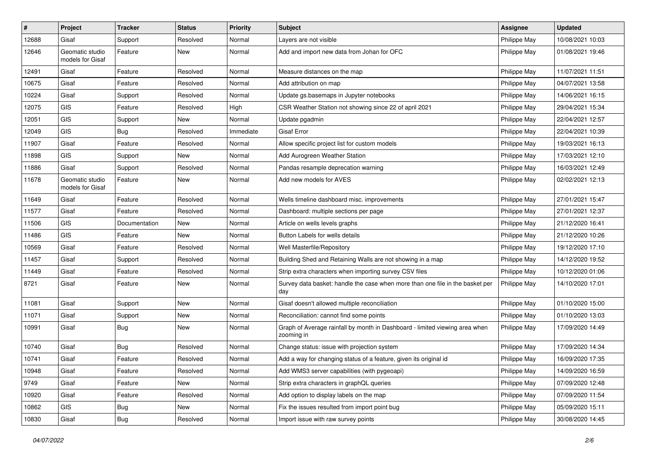| $\vert$ # | Project                             | <b>Tracker</b> | <b>Status</b> | <b>Priority</b> | Subject                                                                                   | <b>Assignee</b> | <b>Updated</b>   |
|-----------|-------------------------------------|----------------|---------------|-----------------|-------------------------------------------------------------------------------------------|-----------------|------------------|
| 12688     | Gisaf                               | Support        | Resolved      | Normal          | Layers are not visible                                                                    | Philippe May    | 10/08/2021 10:03 |
| 12646     | Geomatic studio<br>models for Gisaf | Feature        | <b>New</b>    | Normal          | Add and import new data from Johan for OFC                                                | Philippe May    | 01/08/2021 19:46 |
| 12491     | Gisaf                               | Feature        | Resolved      | Normal          | Measure distances on the map                                                              | Philippe May    | 11/07/2021 11:51 |
| 10675     | Gisaf                               | Feature        | Resolved      | Normal          | Add attribution on map                                                                    | Philippe May    | 04/07/2021 13:58 |
| 10224     | Gisaf                               | Support        | Resolved      | Normal          | Update gs.basemaps in Jupyter notebooks                                                   | Philippe May    | 14/06/2021 16:15 |
| 12075     | GIS                                 | Feature        | Resolved      | High            | CSR Weather Station not showing since 22 of april 2021                                    | Philippe May    | 29/04/2021 15:34 |
| 12051     | GIS                                 | Support        | <b>New</b>    | Normal          | Update pgadmin                                                                            | Philippe May    | 22/04/2021 12:57 |
| 12049     | GIS                                 | <b>Bug</b>     | Resolved      | Immediate       | <b>Gisaf Error</b>                                                                        | Philippe May    | 22/04/2021 10:39 |
| 11907     | Gisaf                               | Feature        | Resolved      | Normal          | Allow specific project list for custom models                                             | Philippe May    | 19/03/2021 16:13 |
| 11898     | <b>GIS</b>                          | Support        | New           | Normal          | Add Aurogreen Weather Station                                                             | Philippe May    | 17/03/2021 12:10 |
| 11886     | Gisaf                               | Support        | Resolved      | Normal          | Pandas resample deprecation warning                                                       | Philippe May    | 16/03/2021 12:49 |
| 11678     | Geomatic studio<br>models for Gisaf | Feature        | <b>New</b>    | Normal          | Add new models for AVES                                                                   | Philippe May    | 02/02/2021 12:13 |
| 11649     | Gisaf                               | Feature        | Resolved      | Normal          | Wells timeline dashboard misc. improvements                                               | Philippe May    | 27/01/2021 15:47 |
| 11577     | Gisaf                               | Feature        | Resolved      | Normal          | Dashboard: multiple sections per page                                                     | Philippe May    | 27/01/2021 12:37 |
| 11506     | GIS                                 | Documentation  | New           | Normal          | Article on wells levels graphs                                                            | Philippe May    | 21/12/2020 16:41 |
| 11486     | GIS                                 | Feature        | New           | Normal          | Button Labels for wells details                                                           | Philippe May    | 21/12/2020 10:26 |
| 10569     | Gisaf                               | Feature        | Resolved      | Normal          | Well Masterfile/Repository                                                                | Philippe May    | 19/12/2020 17:10 |
| 11457     | Gisaf                               | Support        | Resolved      | Normal          | Building Shed and Retaining Walls are not showing in a map                                | Philippe May    | 14/12/2020 19:52 |
| 11449     | Gisaf                               | Feature        | Resolved      | Normal          | Strip extra characters when importing survey CSV files                                    | Philippe May    | 10/12/2020 01:06 |
| 8721      | Gisaf                               | Feature        | New           | Normal          | Survey data basket: handle the case when more than one file in the basket per<br>day      | Philippe May    | 14/10/2020 17:01 |
| 11081     | Gisaf                               | Support        | <b>New</b>    | Normal          | Gisaf doesn't allowed multiple reconciliation                                             | Philippe May    | 01/10/2020 15:00 |
| 11071     | Gisaf                               | Support        | New           | Normal          | Reconciliation: cannot find some points                                                   | Philippe May    | 01/10/2020 13:03 |
| 10991     | Gisaf                               | Bug            | <b>New</b>    | Normal          | Graph of Average rainfall by month in Dashboard - limited viewing area when<br>zooming in | Philippe May    | 17/09/2020 14:49 |
| 10740     | Gisaf                               | Bug            | Resolved      | Normal          | Change status: issue with projection system                                               | Philippe May    | 17/09/2020 14:34 |
| 10741     | Gisaf                               | Feature        | Resolved      | Normal          | Add a way for changing status of a feature, given its original id                         | Philippe May    | 16/09/2020 17:35 |
| 10948     | Gisaf                               | Feature        | Resolved      | Normal          | Add WMS3 server capabilities (with pygeoapi)                                              | Philippe May    | 14/09/2020 16:59 |
| 9749      | Gisaf                               | Feature        | New           | Normal          | Strip extra characters in graphQL queries                                                 | Philippe May    | 07/09/2020 12:48 |
| 10920     | Gisaf                               | Feature        | Resolved      | Normal          | Add option to display labels on the map                                                   | Philippe May    | 07/09/2020 11:54 |
| 10862     | GIS                                 | Bug            | New           | Normal          | Fix the issues resulted from import point bug                                             | Philippe May    | 05/09/2020 15:11 |
| 10830     | Gisaf                               | <b>Bug</b>     | Resolved      | Normal          | Import issue with raw survey points                                                       | Philippe May    | 30/08/2020 14:45 |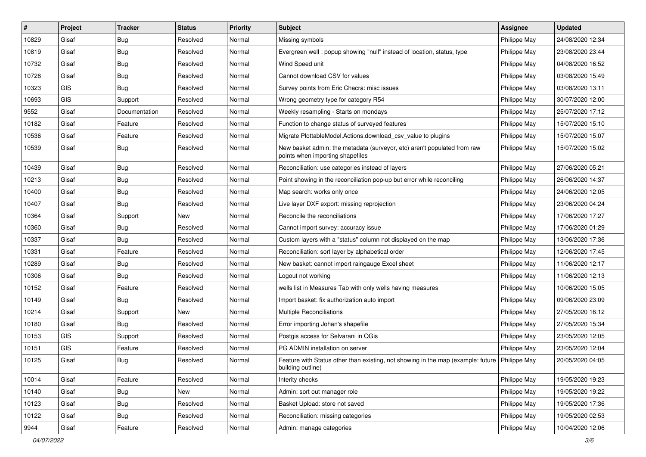| $\sharp$ | Project    | <b>Tracker</b> | <b>Status</b> | Priority | <b>Subject</b>                                                                                                       | <b>Assignee</b> | <b>Updated</b>   |
|----------|------------|----------------|---------------|----------|----------------------------------------------------------------------------------------------------------------------|-----------------|------------------|
| 10829    | Gisaf      | <b>Bug</b>     | Resolved      | Normal   | Missing symbols                                                                                                      | Philippe May    | 24/08/2020 12:34 |
| 10819    | Gisaf      | Bug            | Resolved      | Normal   | Evergreen well: popup showing "null" instead of location, status, type                                               | Philippe May    | 23/08/2020 23:44 |
| 10732    | Gisaf      | Bug            | Resolved      | Normal   | Wind Speed unit                                                                                                      | Philippe May    | 04/08/2020 16:52 |
| 10728    | Gisaf      | <b>Bug</b>     | Resolved      | Normal   | Cannot download CSV for values                                                                                       | Philippe May    | 03/08/2020 15:49 |
| 10323    | <b>GIS</b> | Bug            | Resolved      | Normal   | Survey points from Eric Chacra: misc issues                                                                          | Philippe May    | 03/08/2020 13:11 |
| 10693    | <b>GIS</b> | Support        | Resolved      | Normal   | Wrong geometry type for category R54                                                                                 | Philippe May    | 30/07/2020 12:00 |
| 9552     | Gisaf      | Documentation  | Resolved      | Normal   | Weekly resampling - Starts on mondays                                                                                | Philippe May    | 25/07/2020 17:12 |
| 10182    | Gisaf      | Feature        | Resolved      | Normal   | Function to change status of surveyed features                                                                       | Philippe May    | 15/07/2020 15:10 |
| 10536    | Gisaf      | Feature        | Resolved      | Normal   | Migrate PlottableModel.Actions.download_csv_value to plugins                                                         | Philippe May    | 15/07/2020 15:07 |
| 10539    | Gisaf      | <b>Bug</b>     | Resolved      | Normal   | New basket admin: the metadata (surveyor, etc) aren't populated from raw<br>points when importing shapefiles         | Philippe May    | 15/07/2020 15:02 |
| 10439    | Gisaf      | <b>Bug</b>     | Resolved      | Normal   | Reconciliation: use categories instead of layers                                                                     | Philippe May    | 27/06/2020 05:21 |
| 10213    | Gisaf      | Bug            | Resolved      | Normal   | Point showing in the reconciliation pop-up but error while reconciling                                               | Philippe May    | 26/06/2020 14:37 |
| 10400    | Gisaf      | Bug            | Resolved      | Normal   | Map search: works only once                                                                                          | Philippe May    | 24/06/2020 12:05 |
| 10407    | Gisaf      | Bug            | Resolved      | Normal   | Live layer DXF export: missing reprojection                                                                          | Philippe May    | 23/06/2020 04:24 |
| 10364    | Gisaf      | Support        | New           | Normal   | Reconcile the reconciliations                                                                                        | Philippe May    | 17/06/2020 17:27 |
| 10360    | Gisaf      | Bug            | Resolved      | Normal   | Cannot import survey: accuracy issue                                                                                 | Philippe May    | 17/06/2020 01:29 |
| 10337    | Gisaf      | Bug            | Resolved      | Normal   | Custom layers with a "status" column not displayed on the map                                                        | Philippe May    | 13/06/2020 17:36 |
| 10331    | Gisaf      | Feature        | Resolved      | Normal   | Reconciliation: sort layer by alphabetical order                                                                     | Philippe May    | 12/06/2020 17:45 |
| 10289    | Gisaf      | <b>Bug</b>     | Resolved      | Normal   | New basket: cannot import raingauge Excel sheet                                                                      | Philippe May    | 11/06/2020 12:17 |
| 10306    | Gisaf      | <b>Bug</b>     | Resolved      | Normal   | Logout not working                                                                                                   | Philippe May    | 11/06/2020 12:13 |
| 10152    | Gisaf      | Feature        | Resolved      | Normal   | wells list in Measures Tab with only wells having measures                                                           | Philippe May    | 10/06/2020 15:05 |
| 10149    | Gisaf      | Bug            | Resolved      | Normal   | Import basket: fix authorization auto import                                                                         | Philippe May    | 09/06/2020 23:09 |
| 10214    | Gisaf      | Support        | New           | Normal   | <b>Multiple Reconciliations</b>                                                                                      | Philippe May    | 27/05/2020 16:12 |
| 10180    | Gisaf      | <b>Bug</b>     | Resolved      | Normal   | Error importing Johan's shapefile                                                                                    | Philippe May    | 27/05/2020 15:34 |
| 10153    | GIS        | Support        | Resolved      | Normal   | Postgis access for Selvarani in QGis                                                                                 | Philippe May    | 23/05/2020 12:05 |
| 10151    | GIS        | Feature        | Resolved      | Normal   | PG ADMIN installation on server                                                                                      | Philippe May    | 23/05/2020 12:04 |
| 10125    | Gisaf      | Bug            | Resolved      | Normal   | Feature with Status other than existing, not showing in the map (example: future   Philippe May<br>building outline) |                 | 20/05/2020 04:05 |
| 10014    | Gisaf      | Feature        | Resolved      | Normal   | Interity checks                                                                                                      | Philippe May    | 19/05/2020 19:23 |
| 10140    | Gisaf      | <b>Bug</b>     | New           | Normal   | Admin: sort out manager role                                                                                         | Philippe May    | 19/05/2020 19:22 |
| 10123    | Gisaf      | <b>Bug</b>     | Resolved      | Normal   | Basket Upload: store not saved                                                                                       | Philippe May    | 19/05/2020 17:36 |
| 10122    | Gisaf      | <b>Bug</b>     | Resolved      | Normal   | Reconciliation: missing categories                                                                                   | Philippe May    | 19/05/2020 02:53 |
| 9944     | Gisaf      | Feature        | Resolved      | Normal   | Admin: manage categories                                                                                             | Philippe May    | 10/04/2020 12:06 |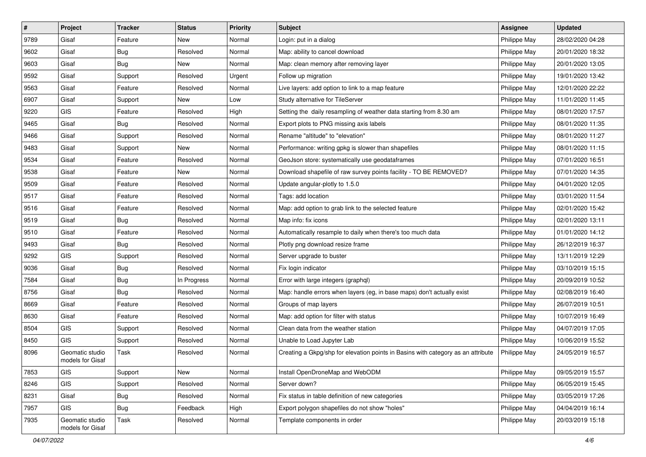| $\sharp$ | Project                             | <b>Tracker</b> | <b>Status</b> | <b>Priority</b> | <b>Subject</b>                                                                   | <b>Assignee</b> | <b>Updated</b>   |
|----------|-------------------------------------|----------------|---------------|-----------------|----------------------------------------------------------------------------------|-----------------|------------------|
| 9789     | Gisaf                               | Feature        | New           | Normal          | Login: put in a dialog                                                           | Philippe May    | 28/02/2020 04:28 |
| 9602     | Gisaf                               | Bug            | Resolved      | Normal          | Map: ability to cancel download                                                  | Philippe May    | 20/01/2020 18:32 |
| 9603     | Gisaf                               | Bug            | New           | Normal          | Map: clean memory after removing layer                                           | Philippe May    | 20/01/2020 13:05 |
| 9592     | Gisaf                               | Support        | Resolved      | Urgent          | Follow up migration                                                              | Philippe May    | 19/01/2020 13:42 |
| 9563     | Gisaf                               | Feature        | Resolved      | Normal          | Live layers: add option to link to a map feature                                 | Philippe May    | 12/01/2020 22:22 |
| 6907     | Gisaf                               | Support        | New           | Low             | Study alternative for TileServer                                                 | Philippe May    | 11/01/2020 11:45 |
| 9220     | GIS                                 | Feature        | Resolved      | High            | Setting the daily resampling of weather data starting from 8.30 am               | Philippe May    | 08/01/2020 17:57 |
| 9465     | Gisaf                               | Bug            | Resolved      | Normal          | Export plots to PNG missing axis labels                                          | Philippe May    | 08/01/2020 11:35 |
| 9466     | Gisaf                               | Support        | Resolved      | Normal          | Rename "altitude" to "elevation"                                                 | Philippe May    | 08/01/2020 11:27 |
| 9483     | Gisaf                               | Support        | New           | Normal          | Performance: writing gpkg is slower than shapefiles                              | Philippe May    | 08/01/2020 11:15 |
| 9534     | Gisaf                               | Feature        | Resolved      | Normal          | GeoJson store: systematically use geodataframes                                  | Philippe May    | 07/01/2020 16:51 |
| 9538     | Gisaf                               | Feature        | New           | Normal          | Download shapefile of raw survey points facility - TO BE REMOVED?                | Philippe May    | 07/01/2020 14:35 |
| 9509     | Gisaf                               | Feature        | Resolved      | Normal          | Update angular-plotly to 1.5.0                                                   | Philippe May    | 04/01/2020 12:05 |
| 9517     | Gisaf                               | Feature        | Resolved      | Normal          | Tags: add location                                                               | Philippe May    | 03/01/2020 11:54 |
| 9516     | Gisaf                               | Feature        | Resolved      | Normal          | Map: add option to grab link to the selected feature                             | Philippe May    | 02/01/2020 15:42 |
| 9519     | Gisaf                               | Bug            | Resolved      | Normal          | Map info: fix icons                                                              | Philippe May    | 02/01/2020 13:11 |
| 9510     | Gisaf                               | Feature        | Resolved      | Normal          | Automatically resample to daily when there's too much data                       | Philippe May    | 01/01/2020 14:12 |
| 9493     | Gisaf                               | Bug            | Resolved      | Normal          | Plotly png download resize frame                                                 | Philippe May    | 26/12/2019 16:37 |
| 9292     | GIS                                 | Support        | Resolved      | Normal          | Server upgrade to buster                                                         | Philippe May    | 13/11/2019 12:29 |
| 9036     | Gisaf                               | Bug            | Resolved      | Normal          | Fix login indicator                                                              | Philippe May    | 03/10/2019 15:15 |
| 7584     | Gisaf                               | Bug            | In Progress   | Normal          | Error with large integers (graphql)                                              | Philippe May    | 20/09/2019 10:52 |
| 8756     | Gisaf                               | <b>Bug</b>     | Resolved      | Normal          | Map: handle errors when layers (eg, in base maps) don't actually exist           | Philippe May    | 02/08/2019 16:40 |
| 8669     | Gisaf                               | Feature        | Resolved      | Normal          | Groups of map layers                                                             | Philippe May    | 26/07/2019 10:51 |
| 8630     | Gisaf                               | Feature        | Resolved      | Normal          | Map: add option for filter with status                                           | Philippe May    | 10/07/2019 16:49 |
| 8504     | GIS                                 | Support        | Resolved      | Normal          | Clean data from the weather station                                              | Philippe May    | 04/07/2019 17:05 |
| 8450     | GIS                                 | Support        | Resolved      | Normal          | Unable to Load Jupyter Lab                                                       | Philippe May    | 10/06/2019 15:52 |
| 8096     | Geomatic studio<br>models for Gisaf | Task           | Resolved      | Normal          | Creating a Gkpg/shp for elevation points in Basins with category as an attribute | Philippe May    | 24/05/2019 16:57 |
| 7853     | GIS                                 | Support        | New           | Normal          | Install OpenDroneMap and WebODM                                                  | Philippe May    | 09/05/2019 15:57 |
| 8246     | GIS                                 | Support        | Resolved      | Normal          | Server down?                                                                     | Philippe May    | 06/05/2019 15:45 |
| 8231     | Gisaf                               | Bug            | Resolved      | Normal          | Fix status in table definition of new categories                                 | Philippe May    | 03/05/2019 17:26 |
| 7957     | GIS                                 | Bug            | Feedback      | High            | Export polygon shapefiles do not show "holes"                                    | Philippe May    | 04/04/2019 16:14 |
| 7935     | Geomatic studio<br>models for Gisaf | Task           | Resolved      | Normal          | Template components in order                                                     | Philippe May    | 20/03/2019 15:18 |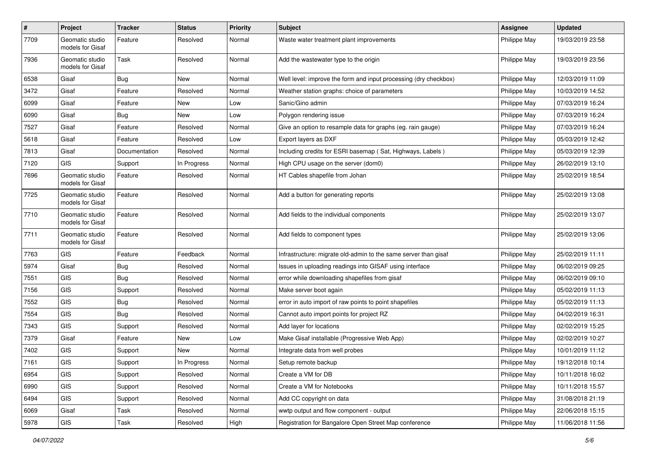| $\pmb{\#}$ | Project                             | <b>Tracker</b> | <b>Status</b> | <b>Priority</b> | <b>Subject</b>                                                   | <b>Assignee</b> | <b>Updated</b>   |
|------------|-------------------------------------|----------------|---------------|-----------------|------------------------------------------------------------------|-----------------|------------------|
| 7709       | Geomatic studio<br>models for Gisaf | Feature        | Resolved      | Normal          | Waste water treatment plant improvements                         | Philippe May    | 19/03/2019 23:58 |
| 7936       | Geomatic studio<br>models for Gisaf | Task           | Resolved      | Normal          | Add the wastewater type to the origin                            | Philippe May    | 19/03/2019 23:56 |
| 6538       | Gisaf                               | Bug            | <b>New</b>    | Normal          | Well level: improve the form and input processing (dry checkbox) | Philippe May    | 12/03/2019 11:09 |
| 3472       | Gisaf                               | Feature        | Resolved      | Normal          | Weather station graphs: choice of parameters                     | Philippe May    | 10/03/2019 14:52 |
| 6099       | Gisaf                               | Feature        | New           | Low             | Sanic/Gino admin                                                 | Philippe May    | 07/03/2019 16:24 |
| 6090       | Gisaf                               | <b>Bug</b>     | New           | Low             | Polygon rendering issue                                          | Philippe May    | 07/03/2019 16:24 |
| 7527       | Gisaf                               | Feature        | Resolved      | Normal          | Give an option to resample data for graphs (eg. rain gauge)      | Philippe May    | 07/03/2019 16:24 |
| 5618       | Gisaf                               | Feature        | Resolved      | Low             | Export layers as DXF                                             | Philippe May    | 05/03/2019 12:42 |
| 7813       | Gisaf                               | Documentation  | Resolved      | Normal          | Including credits for ESRI basemap (Sat, Highways, Labels)       | Philippe May    | 05/03/2019 12:39 |
| 7120       | <b>GIS</b>                          | Support        | In Progress   | Normal          | High CPU usage on the server (dom0)                              | Philippe May    | 26/02/2019 13:10 |
| 7696       | Geomatic studio<br>models for Gisaf | Feature        | Resolved      | Normal          | HT Cables shapefile from Johan                                   | Philippe May    | 25/02/2019 18:54 |
| 7725       | Geomatic studio<br>models for Gisaf | Feature        | Resolved      | Normal          | Add a button for generating reports                              | Philippe May    | 25/02/2019 13:08 |
| 7710       | Geomatic studio<br>models for Gisaf | Feature        | Resolved      | Normal          | Add fields to the individual components                          | Philippe May    | 25/02/2019 13:07 |
| 7711       | Geomatic studio<br>models for Gisaf | Feature        | Resolved      | Normal          | Add fields to component types                                    | Philippe May    | 25/02/2019 13:06 |
| 7763       | <b>GIS</b>                          | Feature        | Feedback      | Normal          | Infrastructure: migrate old-admin to the same server than gisaf  | Philippe May    | 25/02/2019 11:11 |
| 5974       | Gisaf                               | <b>Bug</b>     | Resolved      | Normal          | Issues in uploading readings into GISAF using interface          | Philippe May    | 06/02/2019 09:25 |
| 7551       | <b>GIS</b>                          | <b>Bug</b>     | Resolved      | Normal          | error while downloading shapefiles from gisaf                    | Philippe May    | 06/02/2019 09:10 |
| 7156       | GIS                                 | Support        | Resolved      | Normal          | Make server boot again                                           | Philippe May    | 05/02/2019 11:13 |
| 7552       | <b>GIS</b>                          | <b>Bug</b>     | Resolved      | Normal          | error in auto import of raw points to point shapefiles           | Philippe May    | 05/02/2019 11:13 |
| 7554       | <b>GIS</b>                          | <b>Bug</b>     | Resolved      | Normal          | Cannot auto import points for project RZ                         | Philippe May    | 04/02/2019 16:31 |
| 7343       | <b>GIS</b>                          | Support        | Resolved      | Normal          | Add layer for locations                                          | Philippe May    | 02/02/2019 15:25 |
| 7379       | Gisaf                               | Feature        | New           | Low             | Make Gisaf installable (Progressive Web App)                     | Philippe May    | 02/02/2019 10:27 |
| 7402       | GIS                                 | Support        | New           | Normal          | Integrate data from well probes                                  | Philippe May    | 10/01/2019 11:12 |
| 7161       | GIS                                 | Support        | In Progress   | Normal          | Setup remote backup                                              | Philippe May    | 19/12/2018 10:14 |
| 6954       | <b>GIS</b>                          | Support        | Resolved      | Normal          | Create a VM for DB                                               | Philippe May    | 10/11/2018 16:02 |
| 6990       | GIS                                 | Support        | Resolved      | Normal          | Create a VM for Notebooks                                        | Philippe May    | 10/11/2018 15:57 |
| 6494       | GIS                                 | Support        | Resolved      | Normal          | Add CC copyright on data                                         | Philippe May    | 31/08/2018 21:19 |
| 6069       | Gisaf                               | Task           | Resolved      | Normal          | wwtp output and flow component - output                          | Philippe May    | 22/06/2018 15:15 |
| 5978       | GIS                                 | Task           | Resolved      | High            | Registration for Bangalore Open Street Map conference            | Philippe May    | 11/06/2018 11:56 |